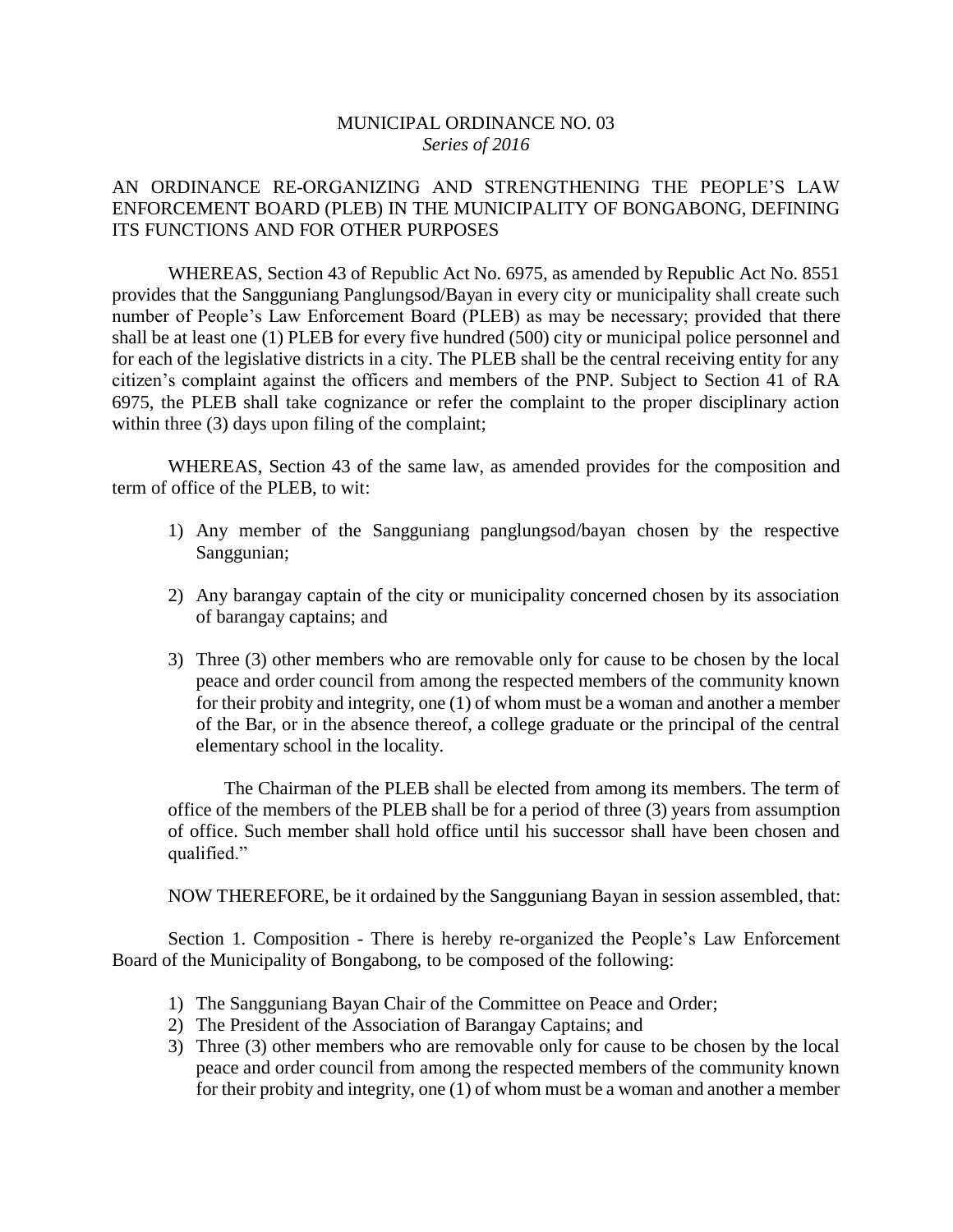## MUNICIPAL ORDINANCE NO. 03 *Series of 2016*

## AN ORDINANCE RE-ORGANIZING AND STRENGTHENING THE PEOPLE'S LAW ENFORCEMENT BOARD (PLEB) IN THE MUNICIPALITY OF BONGABONG, DEFINING ITS FUNCTIONS AND FOR OTHER PURPOSES

WHEREAS, Section 43 of Republic Act No. 6975, as amended by Republic Act No. 8551 provides that the Sangguniang Panglungsod/Bayan in every city or municipality shall create such number of People's Law Enforcement Board (PLEB) as may be necessary; provided that there shall be at least one (1) PLEB for every five hundred (500) city or municipal police personnel and for each of the legislative districts in a city. The PLEB shall be the central receiving entity for any citizen's complaint against the officers and members of the PNP. Subject to Section 41 of RA 6975, the PLEB shall take cognizance or refer the complaint to the proper disciplinary action within three (3) days upon filing of the complaint;

WHEREAS, Section 43 of the same law, as amended provides for the composition and term of office of the PLEB, to wit:

- 1) Any member of the Sangguniang panglungsod/bayan chosen by the respective Sanggunian;
- 2) Any barangay captain of the city or municipality concerned chosen by its association of barangay captains; and
- 3) Three (3) other members who are removable only for cause to be chosen by the local peace and order council from among the respected members of the community known for their probity and integrity, one (1) of whom must be a woman and another a member of the Bar, or in the absence thereof, a college graduate or the principal of the central elementary school in the locality.

The Chairman of the PLEB shall be elected from among its members. The term of office of the members of the PLEB shall be for a period of three (3) years from assumption of office. Such member shall hold office until his successor shall have been chosen and qualified."

NOW THEREFORE, be it ordained by the Sangguniang Bayan in session assembled, that:

Section 1. Composition - There is hereby re-organized the People's Law Enforcement Board of the Municipality of Bongabong, to be composed of the following:

- 1) The Sangguniang Bayan Chair of the Committee on Peace and Order;
- 2) The President of the Association of Barangay Captains; and
- 3) Three (3) other members who are removable only for cause to be chosen by the local peace and order council from among the respected members of the community known for their probity and integrity, one (1) of whom must be a woman and another a member